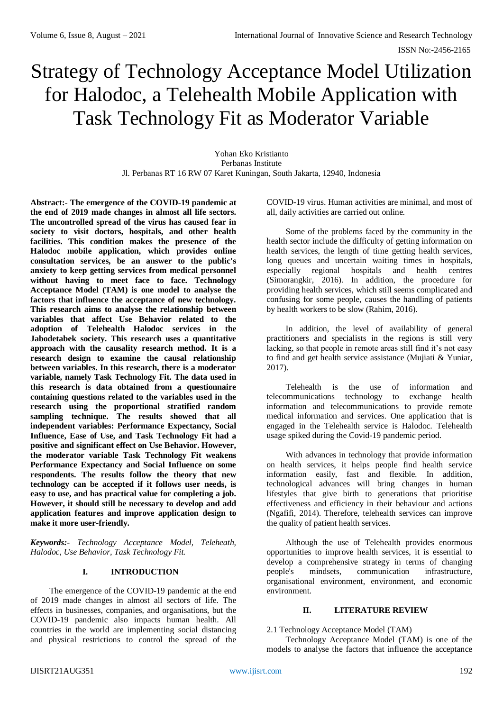# Strategy of Technology Acceptance Model Utilization for Halodoc, a Telehealth Mobile Application with Task Technology Fit as Moderator Variable

Yohan Eko Kristianto Perbanas Institute Jl. Perbanas RT 16 RW 07 Karet Kuningan, South Jakarta, 12940, Indonesia

**Abstract:- The emergence of the COVID-19 pandemic at the end of 2019 made changes in almost all life sectors. The uncontrolled spread of the virus has caused fear in society to visit doctors, hospitals, and other health facilities. This condition makes the presence of the Halodoc mobile application, which provides online consultation services, be an answer to the public's anxiety to keep getting services from medical personnel without having to meet face to face. Technology Acceptance Model (TAM) is one model to analyse the factors that influence the acceptance of new technology. This research aims to analyse the relationship between variables that affect Use Behavior related to the adoption of Telehealth Halodoc services in the Jabodetabek society. This research uses a quantitative approach with the causality research method. It is a research design to examine the causal relationship between variables. In this research, there is a moderator variable, namely Task Technology Fit. The data used in this research is data obtained from a questionnaire containing questions related to the variables used in the research using the proportional stratified random sampling technique. The results showed that all independent variables: Performance Expectancy, Social Influence, Ease of Use, and Task Technology Fit had a positive and significant effect on Use Behavior. However, the moderator variable Task Technology Fit weakens Performance Expectancy and Social Influence on some respondents. The results follow the theory that new technology can be accepted if it follows user needs, is easy to use, and has practical value for completing a job. However, it should still be necessary to develop and add application features and improve application design to make it more user-friendly.**

*Keywords:- Technology Acceptance Model, Teleheath, Halodoc, Use Behavior, Task Technology Fit.* 

## **I. INTRODUCTION**

The emergence of the COVID-19 pandemic at the end of 2019 made changes in almost all sectors of life. The effects in businesses, companies, and organisations, but the COVID-19 pandemic also impacts human health. All countries in the world are implementing social distancing and physical restrictions to control the spread of the

COVID-19 virus. Human activities are minimal, and most of all, daily activities are carried out online.

Some of the problems faced by the community in the health sector include the difficulty of getting information on health services, the length of time getting health services, long queues and uncertain waiting times in hospitals, especially regional hospitals and health centres (Simorangkir, 2016). In addition, the procedure for providing health services, which still seems complicated and confusing for some people, causes the handling of patients by health workers to be slow (Rahim, 2016).

In addition, the level of availability of general practitioners and specialists in the regions is still very lacking, so that people in remote areas still find it's not easy to find and get health service assistance (Mujiati & Yuniar, 2017).

Telehealth is the use of information and telecommunications technology to exchange health information and telecommunications to provide remote medical information and services. One application that is engaged in the Telehealth service is Halodoc. Telehealth usage spiked during the Covid-19 pandemic period.

With advances in technology that provide information on health services, it helps people find health service information easily, fast and flexible. In addition, technological advances will bring changes in human lifestyles that give birth to generations that prioritise effectiveness and efficiency in their behaviour and actions (Ngafifi, 2014). Therefore, telehealth services can improve the quality of patient health services.

Although the use of Telehealth provides enormous opportunities to improve health services, it is essential to develop a comprehensive strategy in terms of changing people's mindsets, communication infrastructure, organisational environment, environment, and economic environment.

## **II. LITERATURE REVIEW**

2.1 Technology Acceptance Model (TAM)

Technology Acceptance Model (TAM) is one of the models to analyse the factors that influence the acceptance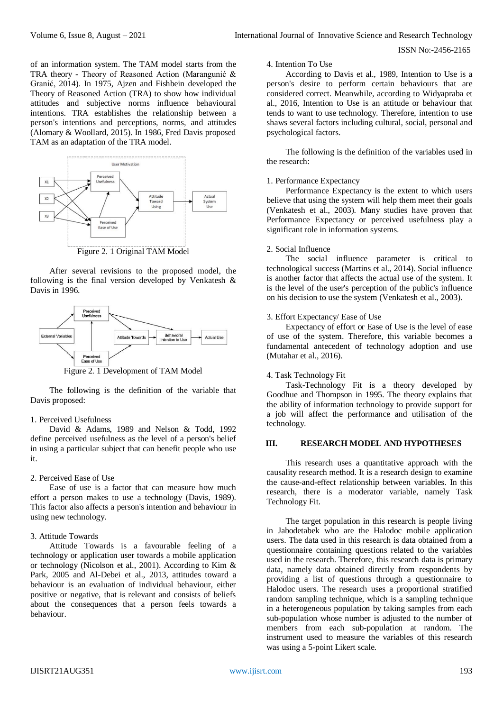of an information system. The TAM model starts from the TRA theory - Theory of Reasoned Action (Marangunić & Granić, 2014). In 1975, Ajzen and Fishbein developed the Theory of Reasoned Action (TRA) to show how individual attitudes and subjective norms influence behavioural intentions. TRA establishes the relationship between a person's intentions and perceptions, norms, and attitudes (Alomary & Woollard, 2015). In 1986, Fred Davis proposed TAM as an adaptation of the TRA model.



After several revisions to the proposed model, the following is the final version developed by Venkatesh & Davis in 1996.



Figure 2. 1 Development of TAM Model

The following is the definition of the variable that Davis proposed:

## 1. Perceived Usefulness

David & Adams, 1989 and Nelson & Todd, 1992 define perceived usefulness as the level of a person's belief in using a particular subject that can benefit people who use it.

#### 2. Perceived Ease of Use

Ease of use is a factor that can measure how much effort a person makes to use a technology (Davis, 1989). This factor also affects a person's intention and behaviour in using new technology.

#### 3. Attitude Towards

Attitude Towards is a favourable feeling of a technology or application user towards a mobile application or technology (Nicolson et al., 2001). According to Kim & Park, 2005 and Al-Debei et al., 2013, attitudes toward a behaviour is an evaluation of individual behaviour, either positive or negative, that is relevant and consists of beliefs about the consequences that a person feels towards a behaviour.

## 4. Intention To Use

According to Davis et al., 1989, Intention to Use is a person's desire to perform certain behaviours that are considered correct. Meanwhile, according to Widyapraba et al., 2016, Intention to Use is an attitude or behaviour that tends to want to use technology. Therefore, intention to use shaws several factors including cultural, social, personal and psychological factors.

The following is the definition of the variables used in the research:

#### 1. Performance Expectancy

Performance Expectancy is the extent to which users believe that using the system will help them meet their goals (Venkatesh et al., 2003). Many studies have proven that Performance Expectancy or perceived usefulness play a significant role in information systems.

#### 2. Social Influence

The social influence parameter is critical to technological success (Martins et al., 2014). Social influence is another factor that affects the actual use of the system. It is the level of the user's perception of the public's influence on his decision to use the system (Venkatesh et al., 2003).

#### 3. Effort Expectancy/ Ease of Use

Expectancy of effort or Ease of Use is the level of ease of use of the system. Therefore, this variable becomes a fundamental antecedent of technology adoption and use (Mutahar et al., 2016).

#### 4. Task Technology Fit

Task-Technology Fit is a theory developed by Goodhue and Thompson in 1995. The theory explains that the ability of information technology to provide support for a job will affect the performance and utilisation of the technology.

## **III. RESEARCH MODEL AND HYPOTHESES**

This research uses a quantitative approach with the causality research method. It is a research design to examine the cause-and-effect relationship between variables. In this research, there is a moderator variable, namely Task Technology Fit.

The target population in this research is people living in Jabodetabek who are the Halodoc mobile application users. The data used in this research is data obtained from a questionnaire containing questions related to the variables used in the research. Therefore, this research data is primary data, namely data obtained directly from respondents by providing a list of questions through a questionnaire to Halodoc users. The research uses a proportional stratified random sampling technique, which is a sampling technique in a heterogeneous population by taking samples from each sub-population whose number is adjusted to the number of members from each sub-population at random. The instrument used to measure the variables of this research was using a 5-point Likert scale.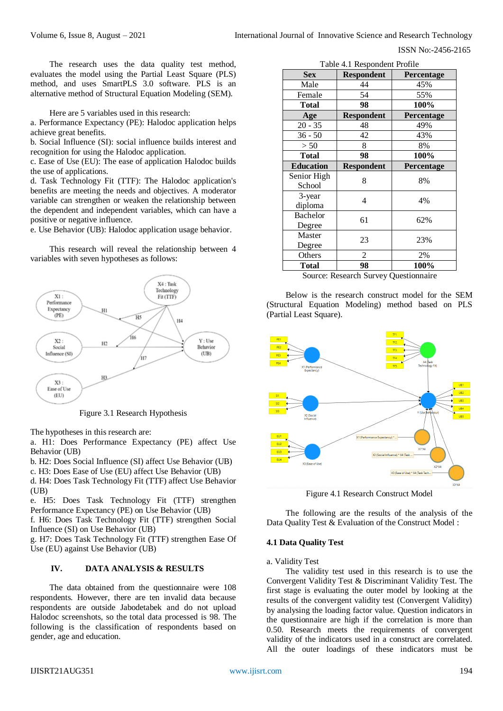The research uses the data quality test method, evaluates the model using the Partial Least Square (PLS) method, and uses SmartPLS 3.0 software. PLS is an alternative method of Structural Equation Modeling (SEM).

Here are 5 variables used in this research:

a. Performance Expectancy (PE): Halodoc application helps achieve great benefits.

b. Social Influence (SI): social influence builds interest and recognition for using the Halodoc application.

c. Ease of Use (EU): The ease of application Halodoc builds the use of applications.

d. Task Technology Fit (TTF): The Halodoc application's benefits are meeting the needs and objectives. A moderator variable can strengthen or weaken the relationship between the dependent and independent variables, which can have a positive or negative influence.

e. Use Behavior (UB): Halodoc application usage behavior.

This research will reveal the relationship between 4 variables with seven hypotheses as follows:



Figure 3.1 Research Hypothesis

The hypotheses in this research are:

a. H1: Does Performance Expectancy (PE) affect Use Behavior (UB)

b. H2: Does Social Influence (SI) affect Use Behavior (UB)

c. H3: Does Ease of Use (EU) affect Use Behavior (UB)

d. H4: Does Task Technology Fit (TTF) affect Use Behavior (UB)

e. H5: Does Task Technology Fit (TTF) strengthen Performance Expectancy (PE) on Use Behavior (UB)

f. H6: Does Task Technology Fit (TTF) strengthen Social Influence (SI) on Use Behavior (UB)

g. H7: Does Task Technology Fit (TTF) strengthen Ease Of Use (EU) against Use Behavior (UB)

## **IV. DATA ANALYSIS & RESULTS**

The data obtained from the questionnaire were 108 respondents. However, there are ten invalid data because respondents are outside Jabodetabek and do not upload Halodoc screenshots, so the total data processed is 98. The following is the classification of respondents based on gender, age and education.

| Table 4.1 Respondent Profile |                   |            |  |  |  |
|------------------------------|-------------------|------------|--|--|--|
| Sex                          | <b>Respondent</b> | Percentage |  |  |  |
| Male                         | 44                | 45%        |  |  |  |
| Female                       | 54                | 55%        |  |  |  |
| <b>Total</b>                 | 98                | 100%       |  |  |  |
| Age                          | <b>Respondent</b> | Percentage |  |  |  |
| $20 - 35$                    | 48                | 49%        |  |  |  |
| $36 - 50$                    | 42                | 43%        |  |  |  |
| > 50                         | 8                 | 8%         |  |  |  |
| <b>Total</b>                 | 98                | 100%       |  |  |  |
| <b>Education</b>             | <b>Respondent</b> | Percentage |  |  |  |
| Senior High                  | 8                 | 8%         |  |  |  |
| School                       |                   |            |  |  |  |
| 3-year                       | 4                 | 4%         |  |  |  |
| diploma                      |                   |            |  |  |  |
| <b>Bachelor</b>              | 61                | 62%        |  |  |  |
| Degree                       |                   |            |  |  |  |
| Master                       | 23                | 23%        |  |  |  |
| Degree                       |                   |            |  |  |  |
| Others                       | 2                 | 2%         |  |  |  |
| <b>Total</b>                 | 98                | 100%       |  |  |  |

Source: Research Survey Questionnaire

Below is the research construct model for the SEM (Structural Equation Modeling) method based on PLS (Partial Least Square).



Figure 4.1 Research Construct Model

The following are the results of the analysis of the Data Quality Test & Evaluation of the Construct Model :

#### **4.1 Data Quality Test**

a. Validity Test

The validity test used in this research is to use the Convergent Validity Test & Discriminant Validity Test. The first stage is evaluating the outer model by looking at the results of the convergent validity test (Convergent Validity) by analysing the loading factor value. Question indicators in the questionnaire are high if the correlation is more than 0.50. Research meets the requirements of convergent validity of the indicators used in a construct are correlated. All the outer loadings of these indicators must be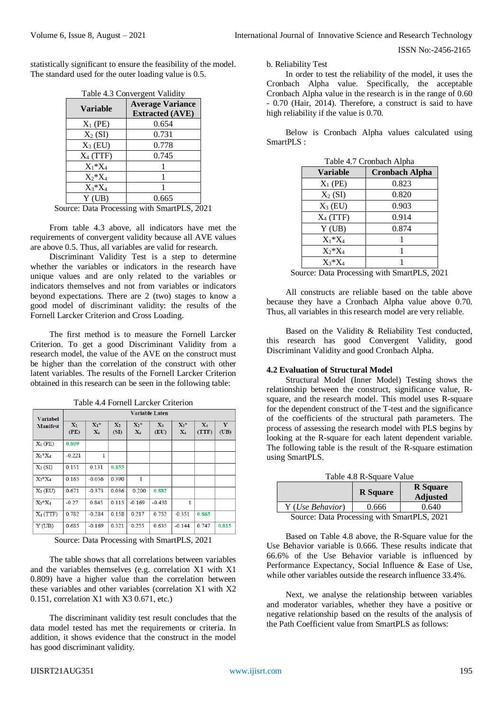statistically significant to ensure the feasibility of the model. The standard used for the outer loading value is 0.5.

| Table 4.3 Convergent Validity |                                                   |  |  |  |
|-------------------------------|---------------------------------------------------|--|--|--|
| <b>Variable</b>               | <b>Average Variance</b><br><b>Extracted (AVE)</b> |  |  |  |
| $X_1$ (PE)                    | 0.654                                             |  |  |  |
| $X_2(SI)$                     | 0.731                                             |  |  |  |
| $X_3$ (EU)                    | 0.778                                             |  |  |  |
| $X_4$ (TTF)                   | 0.745                                             |  |  |  |
| $X_1^*X_4$                    |                                                   |  |  |  |
| $X_2^*X_4$                    |                                                   |  |  |  |
| $X_3^*X_4$                    |                                                   |  |  |  |
| Y(UB)                         | 0.665                                             |  |  |  |

Source: Data Processing with SmartPLS, 2021

From table 4.3 above, all indicators have met the requirements of convergent validity because all AVE values are above 0.5. Thus, all variables are valid for research.

Discriminant Validity Test is a step to determine whether the variables or indicators in the research have unique values and are only related to the variables or indicators themselves and not from variables or indicators beyond expectations. There are 2 (two) stages to know a good model of discriminant validity: the results of the Fornell Larcker Criterion and Cross Loading.

The first method is to measure the Fornell Larcker Criterion. To get a good Discriminant Validity from a research model, the value of the AVE on the construct must be higher than the correlation of the construct with other latent variables. The results of the Fornell Larcker Criterion obtained in this research can be seen in the following table:

| <b>Variabel</b> |                        |                           |                        |                           |                        |                           |                |           |
|-----------------|------------------------|---------------------------|------------------------|---------------------------|------------------------|---------------------------|----------------|-----------|
| <b>Manifest</b> | $\mathbf{X}_1$<br>(PE) | $X_1$ *<br>$\mathbf{X}_4$ | $\mathbf{X}_2$<br>(SI) | $X_2$ *<br>$\mathbf{X}_4$ | $\mathbf{X}_3$<br>(EU) | $X_3$ *<br>$\mathbf{X}_4$ | $X_4$<br>(TTF) | Y<br>(UB) |
| $X_1$ (PE)      | 0.809                  |                           |                        |                           |                        |                           |                |           |
| $X_1^*X_4$      | $-0.221$               | 1                         |                        |                           |                        |                           |                |           |
| $X_2(SI)$       | 0.151                  | 0.131                     | 0.855                  |                           |                        |                           |                |           |
| $X_2^*X_4$      | 0.165                  | $-0.056$                  | 0.390                  | 1                         |                        |                           |                |           |
| $X_3$ (EU)      | 0.671                  | $-0.373$                  | 0.036                  | 0.200                     | 0.882                  |                           |                |           |
| $X_3*X_4$       | $-0.27$                | 0.845                     | 0.115                  | $-0.169$                  | $-0.438$               | 1                         |                |           |
| $X_4$ (TTF)     | 0.782                  | $-0.284$                  | 0.158                  | 0.217                     | 0.752                  | $-0.351$                  | 0.863          |           |
| Y(UB)           | 0.685                  | $-0.169$                  | 0.321                  | 0.255                     | 0.635                  | $-0.144$                  | 0.747          | 0.815     |

Table 4.4 Fornell Larcker Criterion

Source: Data Processing with SmartPLS, 2021

The table shows that all correlations between variables and the variables themselves (e.g. correlation X1 with X1 0.809) have a higher value than the correlation between these variables and other variables (correlation X1 with X2 0.151, correlation X1 with X3 0.671, etc.)

The discriminant validity test result concludes that the data model tested has met the requirements or criteria. In addition, it shows evidence that the construct in the model has good discriminant validity.

b. Reliability Test

In order to test the reliability of the model, it uses the Cronbach Alpha value. Specifically, the acceptable Cronbach Alpha value in the research is in the range of 0.60 - 0.70 (Hair, 2014). Therefore, a construct is said to have high reliability if the value is 0.70.

Below is Cronbach Alpha values calculated using SmartPLS :

| Table 4.7 Cronbach Alpha |                       |  |  |  |
|--------------------------|-----------------------|--|--|--|
| <b>Variable</b>          | <b>Cronbach Alpha</b> |  |  |  |
| $X_1$ (PE)               | 0.823                 |  |  |  |
| $X_2(SI)$                | 0.820                 |  |  |  |
| $X_3$ (EU)               | 0.903                 |  |  |  |
| $X_4$ (TTF)              | 0.914                 |  |  |  |
| Y(UB)                    | 0.874                 |  |  |  |
| $X_1^*X_4$               |                       |  |  |  |
| $X_2^*X_4$               |                       |  |  |  |
| $X_3^*X_4$               |                       |  |  |  |

Source: Data Processing with SmartPLS, 2021

All constructs are reliable based on the table above because they have a Cronbach Alpha value above 0.70. Thus, all variables in this research model are very reliable.

Based on the Validity & Reliability Test conducted, this research has good Convergent Validity, good Discriminant Validity and good Cronbach Alpha.

#### **4.2 Evaluation of Structural Model**

Structural Model (Inner Model) Testing shows the relationship between the construct, significance value, Rsquare, and the research model. This model uses R-square for the dependent construct of the T-test and the significance of the coefficients of the structural path parameters. The process of assessing the research model with PLS begins by looking at the R-square for each latent dependent variable. The following table is the result of the R-square estimation using SmartPLS.

| Table 4.8 R-Square Value                    |                 |                                    |  |  |
|---------------------------------------------|-----------------|------------------------------------|--|--|
|                                             | <b>R</b> Square | <b>R</b> Square<br><b>Adjusted</b> |  |  |
| Y (Use Behavior)                            | 0.666           | 0.640                              |  |  |
| Source: Data Processing with SmartPLS, 2021 |                 |                                    |  |  |

Based on Table 4.8 above, the R-Square value for the Use Behavior variable is 0.666. These results indicate that 66.6% of the Use Behavior variable is influenced by Performance Expectancy, Social Influence & Ease of Use, while other variables outside the research influence 33.4%.

Next, we analyse the relationship between variables and moderator variables, whether they have a positive or negative relationship based on the results of the analysis of the Path Coefficient value from SmartPLS as follows: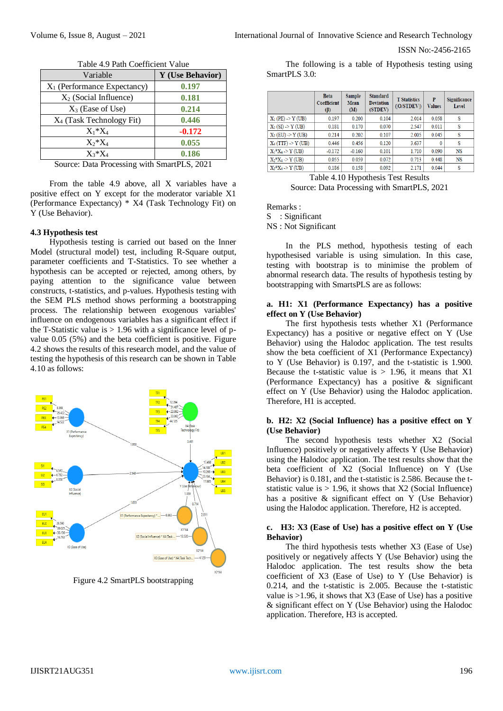| Table 4.7 Faul Coefficient Value |                  |  |  |  |  |
|----------------------------------|------------------|--|--|--|--|
| Variable                         | Y (Use Behavior) |  |  |  |  |
| $X_1$ (Performance Expectancy)   | 0.197            |  |  |  |  |
| $X_2$ (Social Influence)         | 0.181            |  |  |  |  |
| $X_3$ (Ease of Use)              | 0.214            |  |  |  |  |
| $X_4$ (Task Technology Fit)      | 0.446            |  |  |  |  |
| $X_1^*X_4$                       | $-0.172$         |  |  |  |  |
| $X_2^*X_4$                       | 0.055            |  |  |  |  |
| $X_3 * X_4$                      | 0.186            |  |  |  |  |
|                                  |                  |  |  |  |  |

Table 4.9 Path Coefficient Value

Source: Data Processing with SmartPLS, 2021

From the table 4.9 above, all X variables have a positive effect on Y except for the moderator variable X1 (Performance Expectancy) \* X4 (Task Technology Fit) on Y (Use Behavior).

#### **4.3 Hypothesis test**

Hypothesis testing is carried out based on the Inner Model (structural model) test, including R-Square output, parameter coefficients and T-Statistics. To see whether a hypothesis can be accepted or rejected, among others, by paying attention to the significance value between constructs, t-statistics, and p-values. Hypothesis testing with the SEM PLS method shows performing a bootstrapping process. The relationship between exogenous variables' influence on endogenous variables has a significant effect if the T-Statistic value is  $> 1.96$  with a significance level of pvalue 0.05 (5%) and the beta coefficient is positive. Figure 4.2 shows the results of this research model, and the value of testing the hypothesis of this research can be shown in Table 4.10 as follows:



Figure 4.2 SmartPLS bootstrapping

The following is a table of Hypothesis testing using SmartPLS 3.0:

|                          | <b>Beta</b><br>Coefficient<br>$(\beta)$ | <b>Sample</b><br><b>Mean</b><br>(M) | <b>Standard</b><br><b>Deviation</b><br>(STDEV) | <b>T</b> Statistics<br>( O/STDEV ) | P<br><b>Values</b> | Significance<br>Level |
|--------------------------|-----------------------------------------|-------------------------------------|------------------------------------------------|------------------------------------|--------------------|-----------------------|
| $X_1$ (PE) $\geq$ Y (UB) | 0.197                                   | 0.200                               | 0.104                                          | 2.014                              | 0.058              | S                     |
| $X_2(SI) > Y(UB)$        | 0.181                                   | 0.170                               | 0.070                                          | 2.547                              | 0.011              | s                     |
| $X_3$ (EU) $\geq$ Y (UB) | 0.214                                   | 0.202                               | 0.107                                          | 2.005                              | 0.045              | s                     |
| $X_4(TTF) \geq Y(UB)$    | 0.446                                   | 0.456                               | 0.120                                          | 3.637                              | $\mathbf{0}$       | s                     |
| $X_1^*X_4 > Y(UB)$       | $-0.172$                                | $-0.160$                            | 0.101                                          | 1.710                              | 0.090              | <b>NS</b>             |
| $X_2^*X_4$ -> Y (UB)     | 0.055                                   | 0.059                               | 0.072                                          | 0.713                              | 0.448              | <b>NS</b>             |
| $X_3^*X_4$ -> Y (UB)     | 0.186                                   | 0.158                               | 0.092                                          | 2.171                              | 0.044              | S                     |

Table 4.10 Hypothesis Test Results Source: Data Processing with SmartPLS, 2021

Remarks :

S : Significant

NS : Not Significant

In the PLS method, hypothesis testing of each hypothesised variable is using simulation. In this case, testing with bootstrap is to minimise the problem of abnormal research data. The results of hypothesis testing by bootstrapping with SmartsPLS are as follows:

### **a. H1: X1 (Performance Expectancy) has a positive effect on Y (Use Behavior)**

The first hypothesis tests whether X1 (Performance Expectancy) has a positive or negative effect on Y (Use Behavior) using the Halodoc application. The test results show the beta coefficient of X1 (Performance Expectancy) to Y (Use Behavior) is 0.197, and the t-statistic is 1.900. Because the t-statistic value is  $> 1.96$ , it means that X1 (Performance Expectancy) has a positive & significant effect on Y (Use Behavior) using the Halodoc application. Therefore, H1 is accepted.

## **b. H2: X2 (Social Influence) has a positive effect on Y (Use Behavior)**

The second hypothesis tests whether X2 (Social Influence) positively or negatively affects Y (Use Behavior) using the Halodoc application. The test results show that the beta coefficient of X2 (Social Influence) on Y (Use Behavior) is 0.181, and the t-statistic is 2.586. Because the tstatistic value is  $> 1.96$ , it shows that X2 (Social Influence) has a positive & significant effect on Y (Use Behavior) using the Halodoc application. Therefore, H2 is accepted.

#### **c. H3: X3 (Ease of Use) has a positive effect on Y (Use Behavior)**

The third hypothesis tests whether X3 (Ease of Use) positively or negatively affects Y (Use Behavior) using the Halodoc application. The test results show the beta coefficient of X3 (Ease of Use) to Y (Use Behavior) is 0.214, and the t-statistic is 2.005. Because the t-statistic value is >1.96, it shows that X3 (Ease of Use) has a positive & significant effect on Y (Use Behavior) using the Halodoc application. Therefore, H3 is accepted.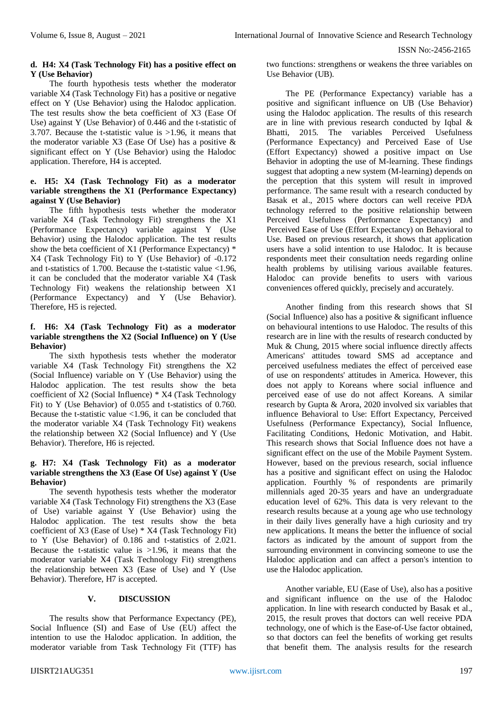## **d. H4: X4 (Task Technology Fit) has a positive effect on Y (Use Behavior)**

The fourth hypothesis tests whether the moderator variable X4 (Task Technology Fit) has a positive or negative effect on Y (Use Behavior) using the Halodoc application. The test results show the beta coefficient of X3 (Ease Of Use) against Y (Use Behavior) of 0.446 and the t-statistic of 3.707. Because the t-statistic value is >1.96, it means that the moderator variable X3 (Ease Of Use) has a positive & significant effect on Y (Use Behavior) using the Halodoc application. Therefore, H4 is accepted.

## **e. H5: X4 (Task Technology Fit) as a moderator variable strengthens the X1 (Performance Expectancy) against Y (Use Behavior)**

The fifth hypothesis tests whether the moderator variable X4 (Task Technology Fit) strengthens the X1 (Performance Expectancy) variable against Y (Use Behavior) using the Halodoc application. The test results show the beta coefficient of X1 (Performance Expectancy) \* X4 (Task Technology Fit) to Y (Use Behavior) of -0.172 and t-statistics of  $1.700$ . Because the t-statistic value  $<1.96$ . it can be concluded that the moderator variable X4 (Task Technology Fit) weakens the relationship between X1 (Performance Expectancy) and Y (Use Behavior). Therefore, H5 is rejected.

#### **f. H6: X4 (Task Technology Fit) as a moderator variable strengthens the X2 (Social Influence) on Y (Use Behavior)**

The sixth hypothesis tests whether the moderator variable X4 (Task Technology Fit) strengthens the X2 (Social Influence) variable on Y (Use Behavior) using the Halodoc application. The test results show the beta coefficient of X2 (Social Influence) \* X4 (Task Technology Fit) to Y (Use Behavior) of 0.055 and t-statistics of 0.760. Because the t-statistic value <1.96, it can be concluded that the moderator variable X4 (Task Technology Fit) weakens the relationship between X2 (Social Influence) and Y (Use Behavior). Therefore, H6 is rejected.

### **g. H7: X4 (Task Technology Fit) as a moderator variable strengthens the X3 (Ease Of Use) against Y (Use Behavior)**

The seventh hypothesis tests whether the moderator variable X4 (Task Technology Fit) strengthens the X3 (Ease of Use) variable against Y (Use Behavior) using the Halodoc application. The test results show the beta coefficient of X3 (Ease of Use) \* X4 (Task Technology Fit) to Y (Use Behavior) of 0.186 and t-statistics of 2.021. Because the t-statistic value is  $>1.96$ , it means that the moderator variable X4 (Task Technology Fit) strengthens the relationship between X3 (Ease of Use) and Y (Use Behavior). Therefore, H7 is accepted.

# **V. DISCUSSION**

The results show that Performance Expectancy (PE), Social Influence (SI) and Ease of Use (EU) affect the intention to use the Halodoc application. In addition, the moderator variable from Task Technology Fit (TTF) has two functions: strengthens or weakens the three variables on Use Behavior (UB).

The PE (Performance Expectancy) variable has a positive and significant influence on UB (Use Behavior) using the Halodoc application. The results of this research are in line with previous research conducted by Iqbal & Bhatti, 2015. The variables Perceived Usefulness (Performance Expectancy) and Perceived Ease of Use (Effort Expectancy) showed a positive impact on Use Behavior in adopting the use of M-learning. These findings suggest that adopting a new system (M-learning) depends on the perception that this system will result in improved performance. The same result with a research conducted by Basak et al., 2015 where doctors can well receive PDA technology referred to the positive relationship between Perceived Usefulness (Performance Expectancy) and Perceived Ease of Use (Effort Expectancy) on Behavioral to Use. Based on previous research, it shows that application users have a solid intention to use Halodoc. It is because respondents meet their consultation needs regarding online health problems by utilising various available features. Halodoc can provide benefits to users with various conveniences offered quickly, precisely and accurately.

Another finding from this research shows that SI (Social Influence) also has a positive & significant influence on behavioural intentions to use Halodoc. The results of this research are in line with the results of research conducted by Muk & Chung, 2015 where social influence directly affects Americans' attitudes toward SMS ad acceptance and perceived usefulness mediates the effect of perceived ease of use on respondents' attitudes in America. However, this does not apply to Koreans where social influence and perceived ease of use do not affect Koreans. A similar research by Gupta & Arora, 2020 involved six variables that influence Behavioral to Use: Effort Expectancy, Perceived Usefulness (Performance Expectancy), Social Influence, Facilitating Conditions, Hedonic Motivation, and Habit. This research shows that Social Influence does not have a significant effect on the use of the Mobile Payment System. However, based on the previous research, social influence has a positive and significant effect on using the Halodoc application. Fourthly % of respondents are primarily millennials aged 20-35 years and have an undergraduate education level of 62%. This data is very relevant to the research results because at a young age who use technology in their daily lives generally have a high curiosity and try new applications. It means the better the influence of social factors as indicated by the amount of support from the surrounding environment in convincing someone to use the Halodoc application and can affect a person's intention to use the Halodoc application.

Another variable, EU (Ease of Use), also has a positive and significant influence on the use of the Halodoc application. In line with research conducted by Basak et al., 2015, the result proves that doctors can well receive PDA technology, one of which is the Ease-of-Use factor obtained, so that doctors can feel the benefits of working get results that benefit them. The analysis results for the research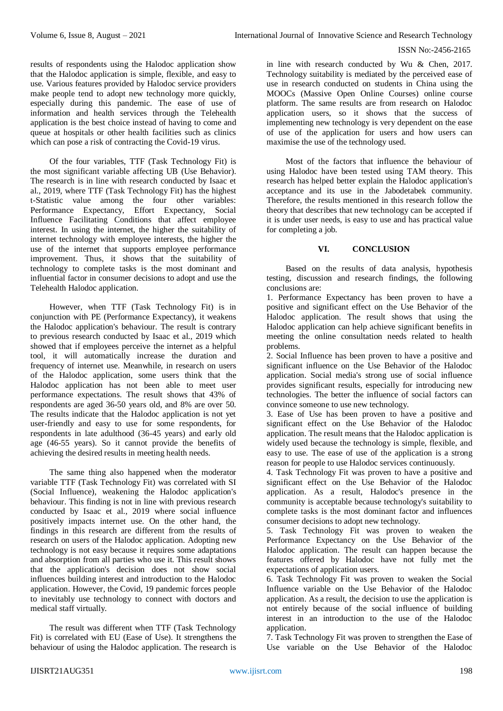results of respondents using the Halodoc application show that the Halodoc application is simple, flexible, and easy to use. Various features provided by Halodoc service providers make people tend to adopt new technology more quickly, especially during this pandemic. The ease of use of information and health services through the Telehealth application is the best choice instead of having to come and queue at hospitals or other health facilities such as clinics which can pose a risk of contracting the Covid-19 virus.

Of the four variables, TTF (Task Technology Fit) is the most significant variable affecting UB (Use Behavior). The research is in line with research conducted by Isaac et al., 2019, where TTF (Task Technology Fit) has the highest t-Statistic value among the four other variables: Performance Expectancy, Effort Expectancy, Social Influence Facilitating Conditions that affect employee interest. In using the internet, the higher the suitability of internet technology with employee interests, the higher the use of the internet that supports employee performance improvement. Thus, it shows that the suitability of technology to complete tasks is the most dominant and influential factor in consumer decisions to adopt and use the Telehealth Halodoc application.

However, when TTF (Task Technology Fit) is in conjunction with PE (Performance Expectancy), it weakens the Halodoc application's behaviour. The result is contrary to previous research conducted by Isaac et al., 2019 which showed that if employees perceive the internet as a helpful tool, it will automatically increase the duration and frequency of internet use. Meanwhile, in research on users of the Halodoc application, some users think that the Halodoc application has not been able to meet user performance expectations. The result shows that 43% of respondents are aged 36-50 years old, and 8% are over 50. The results indicate that the Halodoc application is not yet user-friendly and easy to use for some respondents, for respondents in late adulthood (36-45 years) and early old age (46-55 years). So it cannot provide the benefits of achieving the desired results in meeting health needs.

The same thing also happened when the moderator variable TTF (Task Technology Fit) was correlated with SI (Social Influence), weakening the Halodoc application's behaviour. This finding is not in line with previous research conducted by Isaac et al., 2019 where social influence positively impacts internet use. On the other hand, the findings in this research are different from the results of research on users of the Halodoc application. Adopting new technology is not easy because it requires some adaptations and absorption from all parties who use it. This result shows that the application's decision does not show social influences building interest and introduction to the Halodoc application. However, the Covid, 19 pandemic forces people to inevitably use technology to connect with doctors and medical staff virtually.

The result was different when TTF (Task Technology Fit) is correlated with EU (Ease of Use). It strengthens the behaviour of using the Halodoc application. The research is in line with research conducted by Wu & Chen, 2017. Technology suitability is mediated by the perceived ease of use in research conducted on students in China using the MOOCs (Massive Open Online Courses) online course platform. The same results are from research on Halodoc application users, so it shows that the success of implementing new technology is very dependent on the ease of use of the application for users and how users can maximise the use of the technology used.

Most of the factors that influence the behaviour of using Halodoc have been tested using TAM theory. This research has helped better explain the Halodoc application's acceptance and its use in the Jabodetabek community. Therefore, the results mentioned in this research follow the theory that describes that new technology can be accepted if it is under user needs, is easy to use and has practical value for completing a job.

## **VI. CONCLUSION**

Based on the results of data analysis, hypothesis testing, discussion and research findings, the following conclusions are:

1. Performance Expectancy has been proven to have a positive and significant effect on the Use Behavior of the Halodoc application. The result shows that using the Halodoc application can help achieve significant benefits in meeting the online consultation needs related to health problems.

2. Social Influence has been proven to have a positive and significant influence on the Use Behavior of the Halodoc application. Social media's strong use of social influence provides significant results, especially for introducing new technologies. The better the influence of social factors can convince someone to use new technology.

3. Ease of Use has been proven to have a positive and significant effect on the Use Behavior of the Halodoc application. The result means that the Halodoc application is widely used because the technology is simple, flexible, and easy to use. The ease of use of the application is a strong reason for people to use Halodoc services continuously.

4. Task Technology Fit was proven to have a positive and significant effect on the Use Behavior of the Halodoc application. As a result, Halodoc's presence in the community is acceptable because technology's suitability to complete tasks is the most dominant factor and influences consumer decisions to adopt new technology.

5. Task Technology Fit was proven to weaken the Performance Expectancy on the Use Behavior of the Halodoc application. The result can happen because the features offered by Halodoc have not fully met the expectations of application users.

6. Task Technology Fit was proven to weaken the Social Influence variable on the Use Behavior of the Halodoc application. As a result, the decision to use the application is not entirely because of the social influence of building interest in an introduction to the use of the Halodoc application.

7. Task Technology Fit was proven to strengthen the Ease of Use variable on the Use Behavior of the Halodoc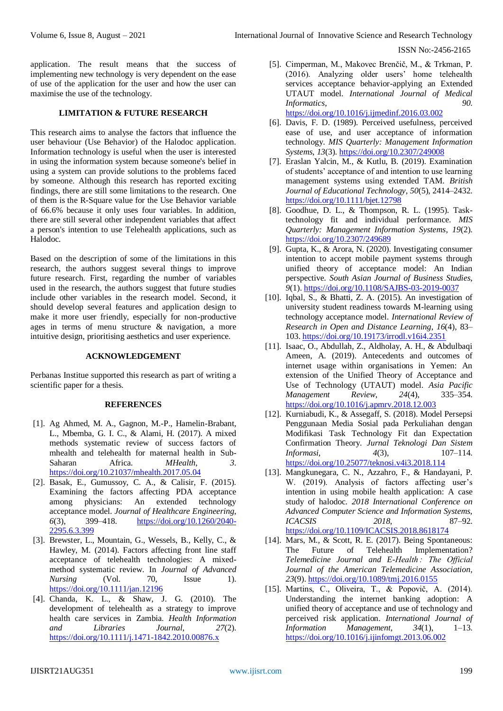application. The result means that the success of implementing new technology is very dependent on the ease of use of the application for the user and how the user can maximise the use of the technology.

### **LIMITATION & FUTURE RESEARCH**

This research aims to analyse the factors that influence the user behaviour (Use Behavior) of the Halodoc application. Information technology is useful when the user is interested in using the information system because someone's belief in using a system can provide solutions to the problems faced by someone. Although this research has reported exciting findings, there are still some limitations to the research. One of them is the R-Square value for the Use Behavior variable of 66.6% because it only uses four variables. In addition, there are still several other independent variables that affect a person's intention to use Telehealth applications, such as Halodoc.

Based on the description of some of the limitations in this research, the authors suggest several things to improve future research. First, regarding the number of variables used in the research, the authors suggest that future studies include other variables in the research model. Second, it should develop several features and application design to make it more user friendly, especially for non-productive ages in terms of menu structure & navigation, a more intuitive design, prioritising aesthetics and user experience.

## **ACKNOWLEDGEMENT**

Perbanas Institue supported this research as part of writing a scientific paper for a thesis.

#### **REFERENCES**

- [1]. Ag Ahmed, M. A., Gagnon, M.-P., Hamelin-Brabant, L., Mbemba, G. I. C., & Alami, H. (2017). A mixed methods systematic review of success factors of mhealth and telehealth for maternal health in Sub-Saharan Africa. *MHealth*, *3*. <https://doi.org/10.21037/mhealth.2017.05.04>
- [2]. Basak, E., Gumussoy, C. A., & Calisir, F. (2015). Examining the factors affecting PDA acceptance among physicians: An extended technology acceptance model. *Journal of Healthcare Engineering*, *6*(3), 399–418. [https://doi.org/10.1260/2040-](https://doi.org/10.1260/2040-2295.6.3.399) [2295.6.3.399](https://doi.org/10.1260/2040-2295.6.3.399)
- [3]. Brewster, L., Mountain, G., Wessels, B., Kelly, C., & Hawley, M. (2014). Factors affecting front line staff acceptance of telehealth technologies: A mixedmethod systematic review. In *Journal of Advanced Nursing* (Vol. 70, Issue 1). <https://doi.org/10.1111/jan.12196>
- [4]. Chanda, K. L., & Shaw, J. G. (2010). The development of telehealth as a strategy to improve health care services in Zambia. *Health Information and Libraries Journal*, *27*(2). <https://doi.org/10.1111/j.1471-1842.2010.00876.x>

[5]. Cimperman, M., Makovec Brenčič, M., & Trkman, P. (2016). Analyzing older users' home telehealth services acceptance behavior-applying an Extended UTAUT model. *International Journal of Medical Informatics*, *90*.

<https://doi.org/10.1016/j.ijmedinf.2016.03.002>

- [6]. Davis, F. D. (1989). Perceived usefulness, perceived ease of use, and user acceptance of information technology. *MIS Quarterly: Management Information Systems*, *13*(3)[. https://doi.org/10.2307/249008](https://doi.org/10.2307/249008)
- [7]. Eraslan Yalcin, M., & Kutlu, B. (2019). Examination of students' acceptance of and intention to use learning management systems using extended TAM. *British Journal of Educational Technology*, *50*(5), 2414–2432. <https://doi.org/10.1111/bjet.12798>
- [8]. Goodhue, D. L., & Thompson, R. L. (1995). Tasktechnology fit and individual performance. *MIS Quarterly: Management Information Systems*, *19*(2). <https://doi.org/10.2307/249689>
- [9]. Gupta, K., & Arora, N. (2020). Investigating consumer intention to accept mobile payment systems through unified theory of acceptance model: An Indian perspective. *South Asian Journal of Business Studies*, *9*(1).<https://doi.org/10.1108/SAJBS-03-2019-0037>
- [10]. Iqbal, S., & Bhatti, Z. A. (2015). An investigation of university student readiness towards M-learning using technology acceptance model. *International Review of Research in Open and Distance Learning*, *16*(4), 83– 103.<https://doi.org/10.19173/irrodl.v16i4.2351>
- [11]. Isaac, O., Abdullah, Z., Aldholay, A. H., & Abdulbaqi Ameen, A. (2019). Antecedents and outcomes of internet usage within organisations in Yemen: An extension of the Unified Theory of Acceptance and Use of Technology (UTAUT) model. *Asia Pacific Management Review*, *24*(4), 335–354. <https://doi.org/10.1016/j.apmrv.2018.12.003>
- [12]. Kurniabudi, K., & Assegaff, S. (2018). Model Persepsi Penggunaan Media Sosial pada Perkuliahan dengan Modifikasi Task Technology Fit dan Expectation Confirmation Theory. *Jurnal Teknologi Dan Sistem Informasi*, *4*(3), 107–114. <https://doi.org/10.25077/teknosi.v4i3.2018.114>
- [13]. Mangkunegara, C. N., Azzahro, F., & Handayani, P. W. (2019). Analysis of factors affecting user's intention in using mobile health application: A case study of halodoc. *2018 International Conference on Advanced Computer Science and Information Systems, ICACSIS 2018*, 87–92. <https://doi.org/10.1109/ICACSIS.2018.8618174>
- [14]. Mars, M., & Scott, R. E. (2017). Being Spontaneous: The Future of Telehealth Implementation? *Telemedicine Journal and E-Health : The Official Journal of the American Telemedicine Association*, *23*(9).<https://doi.org/10.1089/tmj.2016.0155>
- [15]. Martins, C., Oliveira, T., & Popovič, A. (2014). Understanding the internet banking adoption: A unified theory of acceptance and use of technology and perceived risk application. *International Journal of Information Management*, *34*(1), 1–13. <https://doi.org/10.1016/j.ijinfomgt.2013.06.002>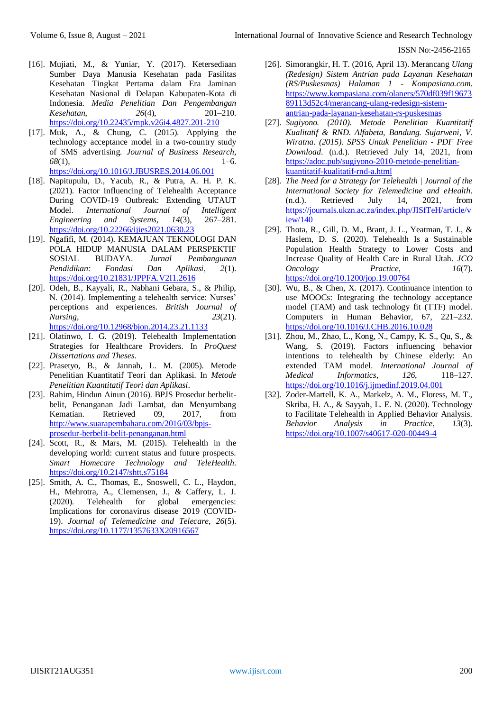- [16]. Mujiati, M., & Yuniar, Y. (2017). Ketersediaan Sumber Daya Manusia Kesehatan pada Fasilitas Kesehatan Tingkat Pertama dalam Era Jaminan Kesehatan Nasional di Delapan Kabupaten-Kota di Indonesia. *Media Penelitian Dan Pengembangan Kesehatan*, *26*(4), 201–210. <https://doi.org/10.22435/mpk.v26i4.4827.201-210>
- [17]. Muk, A., & Chung, C. (2015). Applying the technology acceptance model in a two-country study of SMS advertising. *Journal of Business Research*, *68*(1), 1–6. <https://doi.org/10.1016/J.JBUSRES.2014.06.001>
- [18]. Napitupulu, D., Yacub, R., & Putra, A. H. P. K. (2021). Factor Influencing of Telehealth Acceptance During COVID-19 Outbreak: Extending UTAUT Model. *International Journal of Intelligent Engineering and Systems*, *14*(3), 267–281. <https://doi.org/10.22266/ijies2021.0630.23>
- [19]. Ngafifi, M. (2014). KEMAJUAN TEKNOLOGI DAN POLA HIDUP MANUSIA DALAM PERSPEKTIF SOSIAL BUDAYA. *Jurnal Pembangunan Pendidikan: Fondasi Dan Aplikasi*, *2*(1). <https://doi.org/10.21831/JPPFA.V2I1.2616>
- [20]. Odeh, B., Kayyali, R., Nabhani Gebara, S., & Philip, N. (2014). Implementing a telehealth service: Nurses' perceptions and experiences. *British Journal of Nursing*, *23*(21). <https://doi.org/10.12968/bjon.2014.23.21.1133>
- [21]. Olatinwo, I. G. (2019). Telehealth Implementation Strategies for Healthcare Providers. In *ProQuest Dissertations and Theses*.
- [22]. Prasetyo, B., & Jannah, L. M. (2005). Metode Penelitian Kuantitatif Teori dan Aplikasi. In *Metode Penelitian Kuantitatif Teori dan Aplikasi*.
- [23]. Rahim, Hindun Ainun (2016). BPJS Prosedur berbelitbelit, Penanganan Jadi Lambat, dan Menyumbang Kematian. Retrieved 09, 2017, from [http://www.suarapembaharu.com/2016/03/bpjs](http://www.suarapembaharu.com/2016/03/bpjs-prosedur-berbelit-belit-penanganan.html)[prosedur-berbelit-belit-penanganan.html](http://www.suarapembaharu.com/2016/03/bpjs-prosedur-berbelit-belit-penanganan.html)
- [24]. Scott, R., & Mars, M. (2015). Telehealth in the developing world: current status and future prospects. *Smart Homecare Technology and TeleHealth*. <https://doi.org/10.2147/shtt.s75184>
- [25]. Smith, A. C., Thomas, E., Snoswell, C. L., Haydon, H., Mehrotra, A., Clemensen, J., & Caffery, L. J. (2020). Telehealth for global emergencies: Implications for coronavirus disease 2019 (COVID-19). *Journal of Telemedicine and Telecare*, *26*(5). <https://doi.org/10.1177/1357633X20916567>
- [26]. Simorangkir, H. T. (2016, April 13). Merancang *Ulang (Redesign) Sistem Antrian pada Layanan Kesehatan (RS/Puskesmas) Halaman 1 - Kompasiana.com*. [https://www.kompasiana.com/olaners/570df039f19673](https://www.kompasiana.com/olaners/570df039f1967389113d52c4/merancang-ulang-redesign-sistem-antrian-pada-layanan-kesehatan-rs-puskesmas) [89113d52c4/merancang-ulang-redesign-sistem](https://www.kompasiana.com/olaners/570df039f1967389113d52c4/merancang-ulang-redesign-sistem-antrian-pada-layanan-kesehatan-rs-puskesmas)[antrian-pada-layanan-kesehatan-rs-puskesmas](https://www.kompasiana.com/olaners/570df039f1967389113d52c4/merancang-ulang-redesign-sistem-antrian-pada-layanan-kesehatan-rs-puskesmas)
- [27]. *Sugiyono. (2010). Metode Penelitian Kuantitatif Kualitatif & RND. Alfabeta, Bandung. Sujarweni, V. Wiratna. (2015). SPSS Untuk Penelitian - PDF Free Download*. (n.d.). Retrieved July 14, 2021, from [https://adoc.pub/sugiyono-2010-metode-penelitian](https://adoc.pub/sugiyono-2010-metode-penelitian-kuantitatif-kualitatif-rnd-a.html)[kuantitatif-kualitatif-rnd-a.html](https://adoc.pub/sugiyono-2010-metode-penelitian-kuantitatif-kualitatif-rnd-a.html)
- [28]. *The Need for a Strategy for Telehealth | Journal of the International Society for Telemedicine and eHealth*. (n.d.). Retrieved July 14, 2021, from [https://journals.ukzn.ac.za/index.php/JISfTeH/article/v](https://journals.ukzn.ac.za/index.php/JISfTeH/article/view/140) [iew/140](https://journals.ukzn.ac.za/index.php/JISfTeH/article/view/140)
- [29]. Thota, R., Gill, D. M., Brant, J. L., Yeatman, T. J., & Haslem, D. S. (2020). Telehealth Is a Sustainable Population Health Strategy to Lower Costs and Increase Quality of Health Care in Rural Utah. *JCO Oncology Practice*, *16*(7). <https://doi.org/10.1200/jop.19.00764>
- [30]. Wu, B., & Chen, X. (2017). Continuance intention to use MOOCs: Integrating the technology acceptance model (TAM) and task technology fit (TTF) model. Computers in Human Behavior, 67, 221–232. <https://doi.org/10.1016/J.CHB.2016.10.028>
- [31]. Zhou, M., Zhao, L., Kong, N., Campy, K. S., Qu, S., & Wang, S. (2019). Factors influencing behavior intentions to telehealth by Chinese elderly: An extended TAM model. *International Journal of Medical Informatics*, *126*, 118–127. <https://doi.org/10.1016/j.ijmedinf.2019.04.001>
- [32]. Zoder-Martell, K. A., Markelz, A. M., Floress, M. T., Skriba, H. A., & Sayyah, L. E. N. (2020). Technology to Facilitate Telehealth in Applied Behavior Analysis. *Behavior Analysis in Practice*, *13*(3). <https://doi.org/10.1007/s40617-020-00449-4>